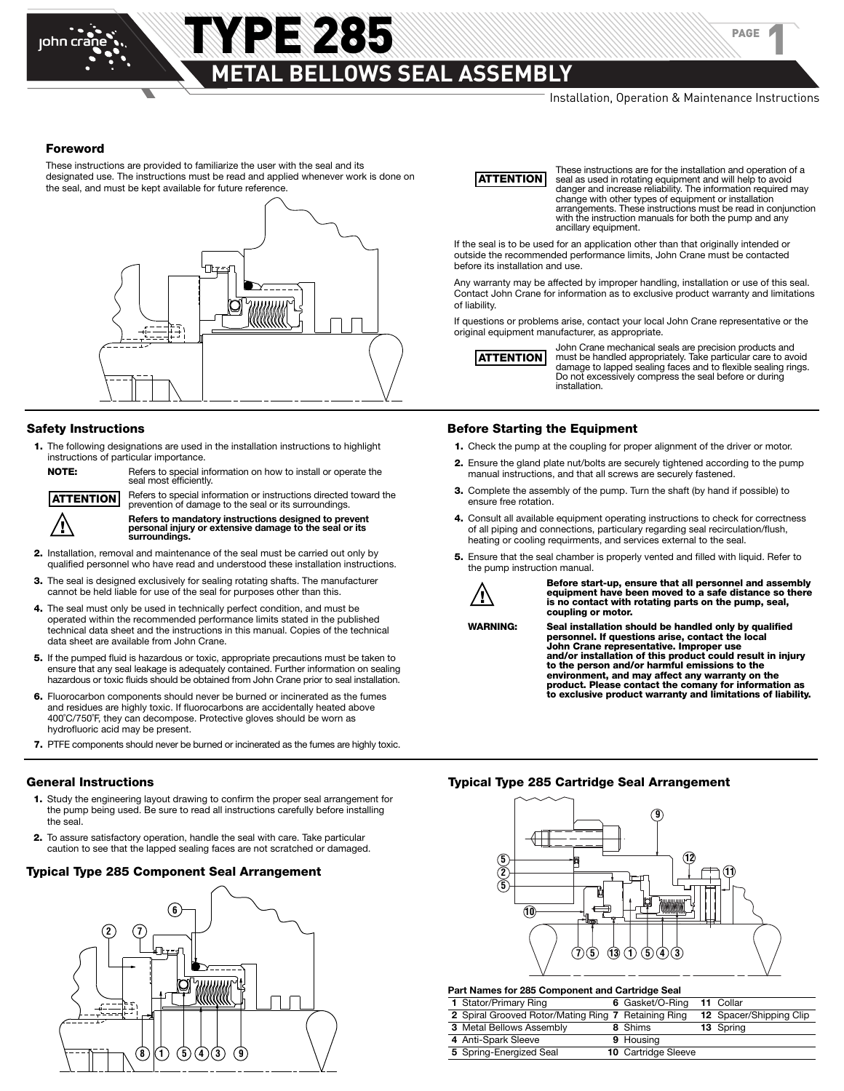### **METAL BELLOWS SEAL ASSEMBLY**

**YPE 2285** 

PAGE

1

#### **Foreword**

These instructions are provided to familiarize the user with the seal and its designated use. The instructions must be read and applied whenever work is done on the seal, and must be kept available for future reference.



#### **Safety Instructions**

- **1.** The following designations are used in the installation instructions to highlight instructions of particular importance.
	- **NOTE:** Refers to special information on how to install or operate the seal most efficiently.

 Refers to special information or instructions directed toward the prevention of damage to the seal or its surroundings. **ATTENTION**



**Example 19 Refers to mandatory instructions designed to prevent**<br>personal injury or extensive damage to the seal or its<br>surroundings.

- **2.** Installation, removal and maintenance of the seal must be carried out only by qualified personnel who have read and understood these installation instructions.
- **3.** The seal is designed exclusively for sealing rotating shafts. The manufacturer cannot be held liable for use of the seal for purposes other than this.
- **4.** The seal must only be used in technically perfect condition, and must be operated within the recommended performance limits stated in the published technical data sheet and the instructions in this manual. Copies of the technical data sheet are available from John Crane.
- **5.** If the pumped fluid is hazardous or toxic, appropriate precautions must be taken to ensure that any seal leakage is adequately contained. Further information on sealing hazardous or toxic fluids should be obtained from John Crane prior to seal installation.
- **6.** Fluorocarbon components should never be burned or incinerated as the fumes and residues are highly toxic. If fluorocarbons are accidentally heated above 400˚C/750˚F, they can decompose. Protective gloves should be worn as hydrofluoric acid may be present.
- **7.** PTFE components should never be burned or incinerated as the fumes are highly toxic.

- **1.** Study the engineering layout drawing to confirm the proper seal arrangement for the pump being used. Be sure to read all instructions carefully before installing the seal.
- **2.** To assure satisfactory operation, handle the seal with care. Take particular caution to see that the lapped sealing faces are not scratched or damaged.

#### **Typical Type 285 Component Seal Arrangement 11**



### **ATTENTION**

 These instructions are for the installation and operation of a seal as used in rotating equipment and will help to avoid danger and increase reliability. The information required may change with other types of equipment or installation arrangements. These instructions must be read in conjunction with the instruction manuals for both the pump and any ancillary equipment.

If the seal is to be used for an application other than that originally intended or outside the recommended performance limits, John Crane must be contacted before its installation and use.

Any warranty may be affected by improper handling, installation or use of this seal. Contact John Crane for information as to exclusive product warranty and limitations of liability.

If questions or problems arise, contact your local John Crane representative or the original equipment manufacturer, as appropriate.



John Crane mechanical seals are precision products and<br>**ATTENTION** must be handled appropriately. Take particular care to avoid damage to lapped sealing faces and to flexible sealing rings.<br>Do not excessively compress the seal before or during Do not excessively compress the seal before or during<br>installation.

#### **Before Starting the Equipment**

- **1.** Check the pump at the coupling for proper alignment of the driver or motor.
- **2.** Ensure the gland plate nut/bolts are securely tightened according to the pump manual instructions, and that all screws are securely fastened.
- **3.** Complete the assembly of the pump. Turn the shaft (by hand if possible) to ensure free rotation.
- **4.** Consult all available equipment operating instructions to check for correctness of all piping and connections, particulary regarding seal recirculation/flush, heating or cooling requirments, and services external to the seal.
- **5.** Ensure that the seal chamber is properly vented and filled with liquid. Refer to the pump instruction manual.



 $\bigwedge$  Before start-up, ensure that all personnel and assembly<br>equipment have been moved to a safe distance so there  **is no contact with rotating parts on the pump, seal, coupling or motor.**

**WARNING: Seal installation should be handled only by qualified personnel. If questions arise, contact the local John Crane representative. Improper use** and/or installation of this product could result in injury<br>to the person and/or harmful emissions to the  **environment, and may affect any warranty on the product. Please contact the comany for information as to exclusive product warranty and limitations of liability.**

#### **General Instructions Typical Type 285 Cartridge Seal Arrangement**



**Part Names for 285 Component and Cartridge Seal**

| . art namoo lor Loo Somponom and Saranago Soar      |  |                            |  |                         |  |  |
|-----------------------------------------------------|--|----------------------------|--|-------------------------|--|--|
| 1 Stator/Primary Ring                               |  | 6 Gasket/O-Ring            |  | 11 Collar               |  |  |
| 2 Spiral Grooved Rotor/Mating Ring 7 Retaining Ring |  |                            |  | 12 Spacer/Shipping Clip |  |  |
| 3 Metal Bellows Assembly                            |  | 8 Shims                    |  | 13 Spring               |  |  |
| 4 Anti-Spark Sleeve                                 |  | 9 Housing                  |  |                         |  |  |
| 5 Spring-Energized Seal                             |  | <b>10 Cartridge Sleeve</b> |  |                         |  |  |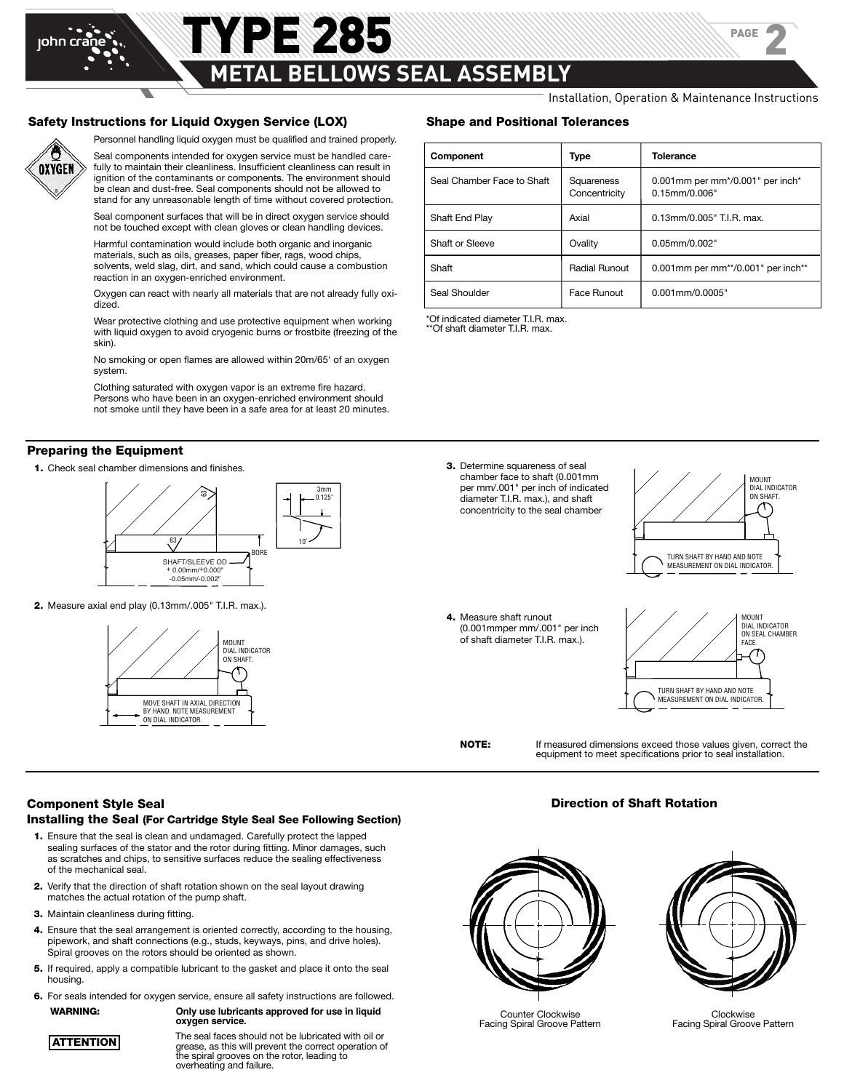# john crane

### **METAL BELLOWS SEAL ASSEMBLY**

TYPE 285

Installation, Operation & Maintenance Instructions

PAGE

2

#### **Safety Instructions for Liquid Oxygen Service (LOX)**



Personnel handling liquid oxygen must be qualified and trained properly.

Seal components intended for oxygen service must be handled carefully to maintain their cleanliness. Insufficient cleanliness can result in ignition of the contaminants or components. The environment should be clean and dust-free. Seal components should not be allowed to stand for any unreasonable length of time without covered protection.

Seal component surfaces that will be in direct oxygen service should not be touched except with clean gloves or clean handling devices.

Harmful contamination would include both organic and inorganic materials, such as oils, greases, paper fiber, rags, wood chips, solvents, weld slag, dirt, and sand, which could cause a combustion reaction in an oxygen-enriched environment.

Oxygen can react with nearly all materials that are not already fully oxidized.

Wear protective clothing and use protective equipment when working with liquid oxygen to avoid cryogenic burns or frostbite (freezing of the skin).

No smoking or open flames are allowed within 20m/65' of an oxygen system.

Clothing saturated with oxygen vapor is an extreme fire hazard. Persons who have been in an oxygen-enriched environment should not smoke until they have been in a safe area for at least 20 minutes.

#### **Preparing the Equipment**

**1.** Check seal chamber dimensions and finishes.



**2.** Measure axial end play (0.13mm/.005" T.I.R. max.).



#### **Shape and Positional Tolerances**

| Component                  | Type                        | <b>Tolerance</b>                                        |
|----------------------------|-----------------------------|---------------------------------------------------------|
| Seal Chamber Face to Shaft | Squareness<br>Concentricity | 0.001mm per mm*/0.001" per inch*<br>$0.15$ mm/ $0.006"$ |
| Shaft End Play             | Axial                       | 0.13mm/0.005" T.I.R. max.                               |
| Shaft or Sleeve            | Ovality                     | $0.05$ mm/ $0.002"$                                     |
| Shaft                      | Radial Runout               | 0.001mm per mm**/0.001" per inch**                      |
| Seal Shoulder              | Face Runout                 | $0.001$ mm/ $0.0005"$                                   |

\*Of indicated diameter T.I.R. max. \*\*Of shaft diameter T.I.R. max.





 **4.** Measure shaft runout (0.001mmper mm/.001" per inch of shaft diameter T.I.R. max.).



 **NOTE:** If measured dimensions exceed those values given, correct the equipment to meet specifications prior to seal installation.

**Direction of Shaft Rotation**

#### **Component Style Seal**

#### **Installing the Seal (For Cartridge Style Seal See Following Section)**

- **1.** Ensure that the seal is clean and undamaged. Carefully protect the lapped sealing surfaces of the stator and the rotor during fitting. Minor damages, such as scratches and chips, to sensitive surfaces reduce the sealing effectiveness of the mechanical seal.
- **2.** Verify that the direction of shaft rotation shown on the seal layout drawing matches the actual rotation of the pump shaft.
- **3.** Maintain cleanliness during fitting.
- **4.** Ensure that the seal arrangement is oriented correctly, according to the housing, pipework, and shaft connections (e.g., studs, keyways, pins, and drive holes). Spiral grooves on the rotors should be oriented as shown.
- **5.** If required, apply a compatible lubricant to the gasket and place it onto the seal housing.
- **6.** For seals intended for oxygen service, ensure all safety instructions are followed. **WARNING: Only use lubricants approved for use in liquid**

 **oxygen service.**

**ATTENTION**

 The seal faces should not be lubricated with oil or **ATTENTION**<br>
grease, as this will prevent the correct operation of<br>
the rotor, leading to<br>
overheating and failure.



Counter Clockwise Facing Spiral Groove Pattern



Clockwise Facing Spiral Groove Pattern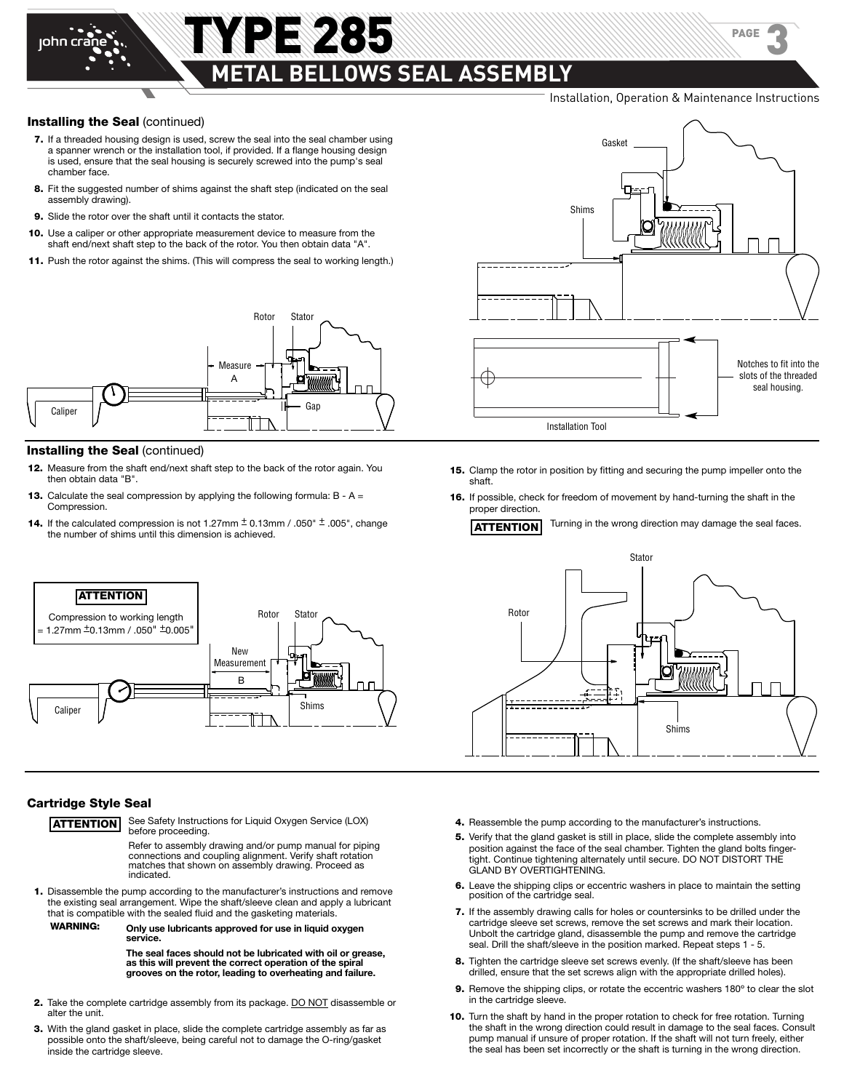## YPE 285 **METAL BELLOWS SEAL ASSEMBLY**

Installation, Operation & Maintenance Instructions

PAGE

3

#### **Installing the Seal** (continued)

john crane

- **7.** If a threaded housing design is used, screw the seal into the seal chamber using a spanner wrench or the installation tool, if provided. If a flange housing design is used, ensure that the seal housing is securely screwed into the pump's seal chamber face.
- **8.** Fit the suggested number of shims against the shaft step (indicated on the seal assembly drawing).
- **9.** Slide the rotor over the shaft until it contacts the stator.
- **10.** Use a caliper or other appropriate measurement device to measure from the shaft end/next shaft step to the back of the rotor. You then obtain data "A".
- **11.** Push the rotor against the shims. (This will compress the seal to working length.)



#### **Installing the Seal** (continued)

**ATTENTION** Compression to working length  $= 1.27$ mm  $\pm$ 0.13mm / .050"  $\pm$ 0.005

- **12.** Measure from the shaft end/next shaft step to the back of the rotor again. You then obtain data "B".
- **13.** Calculate the seal compression by applying the following formula: B A = Compression.
- **14.** If the calculated compression is not 1.27mm  $\pm$  0.13mm / .050"  $\pm$  .005", change the number of shims until this dimension is achieved.



- **15.** Clamp the rotor in position by fitting and securing the pump impeller onto the shaft.
- **16.** If possible, check for freedom of movement by hand-turning the shaft in the proper direction.

**ATTENTION** Turning in the wrong direction may damage the seal faces.



#### **Cartridge Style Seal**

Caliner

**ATTENTION** See Safety Instructions for Liquid Oxygen Service (LOX) before proceeding

New Measurement

B

Rotor Stato

Shims

Refer to assembly drawing and/or pump manual for piping connections and coupling alignment. Verify shaft rotation matches that shown on assembly drawing. Proceed as indicated.

- **1.** Disassemble the pump according to the manufacturer's instructions and remove the existing seal arrangement. Wipe the shaft/sleeve clean and apply a lubricant that is compatible with the sealed fluid and the gasketing materials.
	- **WARNING: Only use lubricants approved for use in liquid oxygen service.**

The seal faces should not be lubricated with oil or grease,<br>as this will prevent the correct operation of the spiral<br>grooves on the rotor, leading to overheating and failure.

- **2.** Take the complete cartridge assembly from its package. **DO NOT** disassemble or alter the unit.
- **3.** With the gland gasket in place, slide the complete cartridge assembly as far as possible onto the shaft/sleeve, being careful not to damage the O-ring/gasket inside the cartridge sleeve.
- 4. Reassemble the pump according to the manufacturer's instructions.
- **5.** Verify that the gland gasket is still in place, slide the complete assembly into position against the face of the seal chamber. Tighten the gland bolts fingertight. Continue tightening alternately until secure. DO NOT DISTORT THE GLAND BY OVERTIGHTENING.
- **6.** Leave the shipping clips or eccentric washers in place to maintain the setting position of the cartridge seal.
- **7.** If the assembly drawing calls for holes or countersinks to be drilled under the cartridge sleeve set screws, remove the set screws and mark their location. Unbolt the cartridge gland, disassemble the pump and remove the cartridge seal. Drill the shaft/sleeve in the position marked. Repeat steps 1 - 5.
- **8.** Tighten the cartridge sleeve set screws evenly. (If the shaft/sleeve has been drilled, ensure that the set screws align with the appropriate drilled holes).
- **9.** Remove the shipping clips, or rotate the eccentric washers 180º to clear the slot in the cartridge sleeve.
- **10.** Turn the shaft by hand in the proper rotation to check for free rotation. Turning the shaft in the wrong direction could result in damage to the seal faces. Consult pump manual if unsure of proper rotation. If the shaft will not turn freely, either the seal has been set incorrectly or the shaft is turning in the wrong direction.